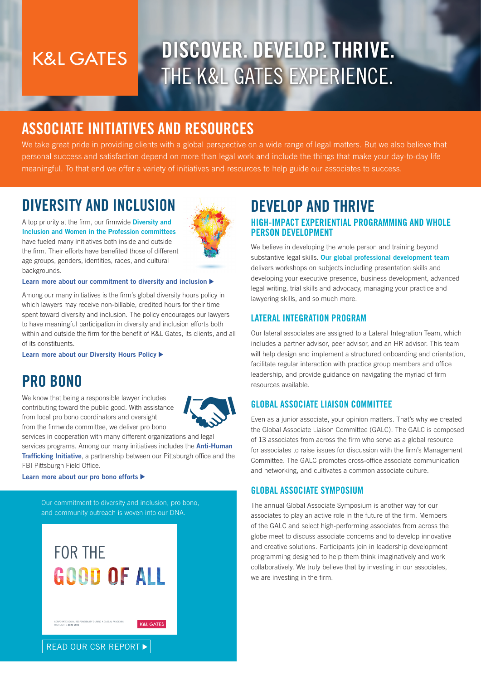# **K&L GATES**

# DISCOVER. DEVELOP. THRIVE. THE K&L GATES EXPERIENCE.

## ASSOCIATE INITIATIVES AND RESOURCES

We take great pride in providing clients with a global perspective on a wide range of legal matters. But we also believe that personal success and satisfaction depend on more than legal work and include the things that make your day-to-day life meaningful. To that end we offer a variety of initiatives and resources to help guide our associates to success.

### DIVERSITY AND INCLUSION



A top priority at the firm, our firmwide **Diversity and** Inclusion and Women in the Profession committees have fueled many initiatives both inside and outside the firm. Their efforts have benefited those of different age groups, genders, identities, races, and cultural backgrounds.

#### [Learn more about our commitment to diversity and inclusion](https://www.klgates.com/diversity)  $\blacktriangleright$

Among our many initiatives is the firm's global diversity hours policy in which lawyers may receive non-billable, credited hours for their time spent toward diversity and inclusion. The policy encourages our lawyers to have meaningful participation in diversity and inclusion efforts both within and outside the firm for the benefit of K&L Gates, its clients, and all of its constituents.

[Learn more about our Diversity Hours Policy](https://www.klgates.com/KL-Gates-Establishes-Global-Policy-Recognizing-Diversity-Hours-for-Lawyers-10-19-2021)

### PRO BONO

We know that being a responsible lawyer includes contributing toward the public good. With assistance from local pro bono coordinators and oversight from the firmwide committee, we deliver pro bono



services in cooperation with many different organizations and legal services programs. Among our many initiatives includes the **Anti-Human [Trafficking Initiative](https://www.humantraffickinghelp.com/)**, a partnership between our Pittsburgh office and the FBI Pittsburgh Field Office.

#### [Learn more about our pro bono efforts](https://www.klgates.com/pro-bono)

Our commitment to diversity and inclusion, pro bono, and community outreach is woven into our DNA.

# [FOR THE](https://files.klgates.com/webfiles/CSR_Report_2022.pdf) GOOD OF ALL

CORPORATE SOCIAL RESPONSIBILITY DURING A GLOBAL PANDEMIC HIGHLIGHTS 2020-2021

**K&L GATES** 



### HIGH-IMPACT EXPERIENTIAL PROGRAMMING AND WHOLE PERSON DEVELOPMENT DEVELOP AND THRIVE

We believe in developing the whole person and training beyond substantive legal skills. Our global professional development team delivers workshops on subjects including presentation skills and developing your executive presence, business development, advanced legal writing, trial skills and advocacy, managing your practice and lawyering skills, and so much more.

#### LATERAL INTEGRATION PROGRAM

Our lateral associates are assigned to a Lateral Integration Team, which includes a partner advisor, peer advisor, and an HR advisor. This team will help design and implement a structured onboarding and orientation, facilitate regular interaction with practice group members and office leadership, and provide guidance on navigating the myriad of firm resources available.

#### GLOBAL ASSOCIATE LIAISON COMMITTEE

Even as a junior associate, your opinion matters. That's why we created the Global Associate Liaison Committee (GALC). The GALC is composed of 13 associates from across the firm who serve as a global resource for associates to raise issues for discussion with the firm's Management Committee. The GALC promotes cross-office associate communication and networking, and cultivates a common associate culture.

#### GLOBAL ASSOCIATE SYMPOSIUM

The annual Global Associate Symposium is another way for our associates to play an active role in the future of the firm. Members of the GALC and select high-performing associates from across the globe meet to discuss associate concerns and to develop innovative and creative solutions. Participants join in leadership development programming designed to help them think imaginatively and work collaboratively. We truly believe that by investing in our associates, we are investing in the firm.